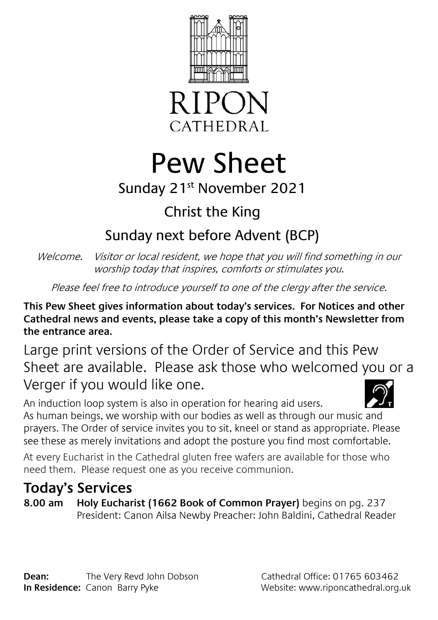



# Pew Sheet

## Sunday 21st November 2021

# Christ the King

## Sunday next before Advent (BCP)

Welcome. Visitor or local resident, we hope that you will find something in our worship today that inspires, comforts or stimulates you.

Please feel free to introduce yourself to one of the clergy after the service.

**This Pew Sheet gives information about today's services. For Notices and other Cathedral news and events, please take a copy of this month's Newsletter from the entrance area.** 

Large print versions of the Order of Service and this Pew Sheet are available. Please ask those who welcomed you or a Verger if you would like one.



An induction loop system is also in operation for hearing aid users. As human beings, we worship with our bodies as well as through our music and prayers. The Order of service invites you to sit, kneel or stand as appropriate. Please see these as merely invitations and adopt the posture you find most comfortable.

At every Eucharist in the Cathedral gluten free wafers are available for those who need them. Please request one as you receive communion.

## **Today's Services**

**8.00 am Holy Eucharist (1662 Book of Common Prayer)** begins on pg. 237 President: Canon Ailsa Newby Preacher: John Baldini, Cathedral Reader